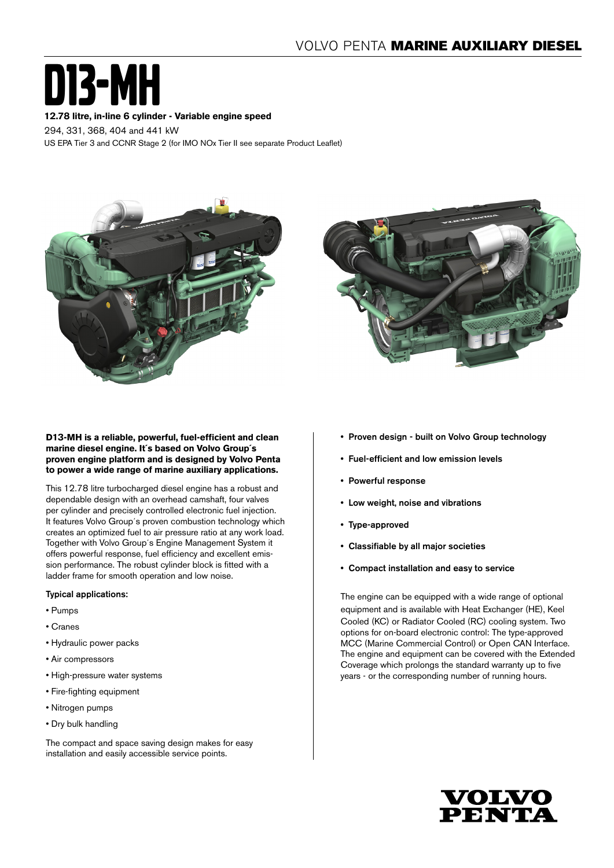### VOLVO PENTA MARINE AUXILIARY DIESEL

# D13-MH

#### **12.78 litre, in-line 6 cylinder - Variable engine speed**

294, 331, 368, 404 and 441 kW US EPA Tier 3 and CCNR Stage 2 (for IMO NOx Tier II see separate Product Leaflet)



#### **D13-MH is a reliable, powerful, fuel-efficient and clean marine diesel engine. It´s based on Volvo Group´s proven engine platform and is designed by Volvo Penta to power a wide range of marine auxiliary applications.**

This 12.78 litre turbocharged diesel engine has a robust and dependable design with an overhead camshaft, four valves per cylinder and precisely controlled electronic fuel injection. It features Volvo Group´s proven combustion technology which creates an optimized fuel to air pressure ratio at any work load. Together with Volvo Group´s Engine Management System it offers powerful response, fuel efficiency and excellent emission performance. The robust cylinder block is fitted with a ladder frame for smooth operation and low noise.

#### Typical applications:

- Pumps
- Cranes
- Hydraulic power packs
- Air compressors
- High-pressure water systems
- Fire-fighting equipment
- Nitrogen pumps
- Dry bulk handling

The compact and space saving design makes for easy installation and easily accessible service points.



- Proven design built on Volvo Group technology
- Fuel-efficient and low emission levels
- Powerful response
- Low weight, noise and vibrations
- Type-approved
- Classifiable by all major societies
- Compact installation and easy to service

The engine can be equipped with a wide range of optional equipment and is available with Heat Exchanger (HE), Keel Cooled (KC) or Radiator Cooled (RC) cooling system. Two options for on-board electronic control: The type-approved MCC (Marine Commercial Control) or Open CAN Interface. The engine and equipment can be covered with the Extended Coverage which prolongs the standard warranty up to five years - or the corresponding number of running hours.

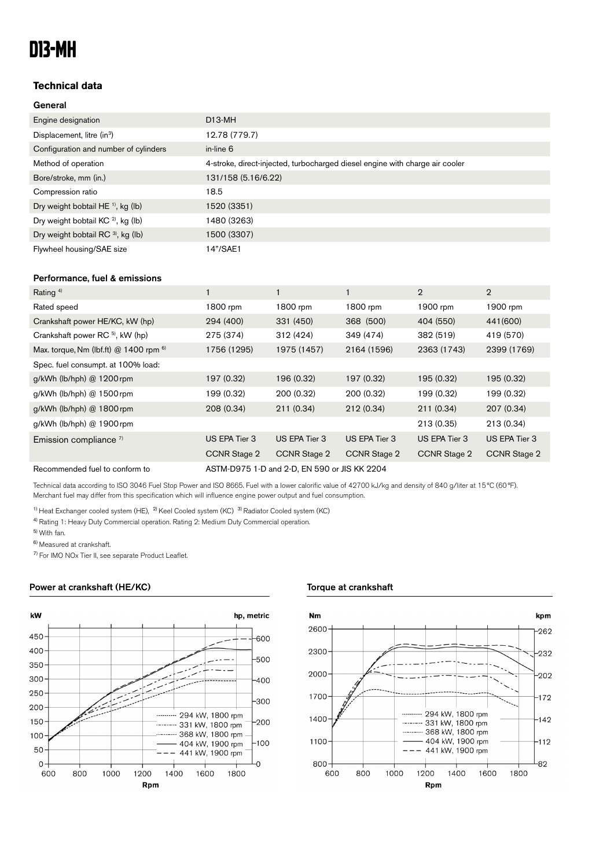## D13-MH

#### **Technical data**

#### General Engine designation D13-MH Displacement, litre (in<sup>3</sup>) 12.78 (779.7) Configuration and number of cylinders in-line 6 Method of operation **4-stroke**, direct-injected, turbocharged diesel engine with charge air cooler Bore/stroke, mm (in.) 131/158 (5.16/6.22) Compression ratio 18.5 Dry weight bobtail HE <sup>1)</sup>, kg (lb) 1520 (3351) Dry weight bobtail KC  $^{2}$ , kg (lb) 1480 (3263) Dry weight bobtail RC <sup>3)</sup>, kg (lb) 1500 (3307) Flywheel housing/SAE size 14"/SAE1

#### Performance, fuel & emissions

| Rating $4$                                      |                                              |                     |               | $\overline{2}$ | $\overline{2}$      |
|-------------------------------------------------|----------------------------------------------|---------------------|---------------|----------------|---------------------|
| Rated speed                                     | 1800 rpm                                     | 1800 rpm            | 1800 rpm      | 1900 rpm       | 1900 rpm            |
| Crankshaft power HE/KC, kW (hp)                 | 294 (400)                                    | 331 (450)           | 368 (500)     | 404 (550)      | 441(600)            |
| Crankshaft power RC <sup>5)</sup> , kW (hp)     | 275 (374)                                    | 312 (424)           | 349 (474)     | 382 (519)      | 419 (570)           |
| Max. torque, Nm (lbf.ft) $@ 1400$ rpm ${}^{6)}$ | 1756 (1295)                                  | 1975 (1457)         | 2164 (1596)   | 2363 (1743)    | 2399 (1769)         |
| Spec. fuel consumpt. at 100% load:              |                                              |                     |               |                |                     |
| $g/kWh$ (lb/hph) @ 1200 rpm                     | 197 (0.32)                                   | 196 (0.32)          | 197 (0.32)    | 195 (0.32)     | 195 (0.32)          |
| g/kWh (lb/hph) @ 1500 rpm                       | 199 (0.32)                                   | 200 (0.32)          | 200 (0.32)    | 199 (0.32)     | 199 (0.32)          |
| $g/kWh$ (lb/hph) @ 1800 rpm                     | 208 (0.34)                                   | 211(0.34)           | 212(0.34)     | 211(0.34)      | 207 (0.34)          |
| g/kWh (lb/hph) @ 1900 rpm                       |                                              |                     |               | 213(0.35)      | 213(0.34)           |
| Emission compliance $\frac{7}{2}$               | US EPA Tier 3                                | US EPA Tier 3       | US EPA Tier 3 | US EPA Tier 3  | US EPA Tier 3       |
|                                                 | CCNR Stage 2                                 | <b>CCNR Stage 2</b> | CCNR Stage 2  | CCNR Stage 2   | <b>CCNR Stage 2</b> |
| Recommended fuel to conform to                  | ASTM-D975 1-D and 2-D. EN 590 or JIS KK 2204 |                     |               |                |                     |

Technical data according to ISO 3046 Fuel Stop Power and ISO 8665. Fuel with a lower calorific value of 42700 kJ/kg and density of 840 g/liter at 15°C (60°F). Merchant fuel may differ from this specification which will influence engine power output and fuel consumption.

<sup>1)</sup> Heat Exchanger cooled system (HE), <sup>2)</sup> Keel Cooled system (KC) <sup>3)</sup> Radiator Cooled system (KC)

4) Rating 1: Heavy Duty Commercial operation. Rating 2: Medium Duty Commercial operation.

5) With fan.

6) Measured at crankshaft.

7) For IMO NOx Tier II, see separate Product Leaflet.

#### Power at crankshaft (HE/KC) Torque at crankshaft (HE/KC)